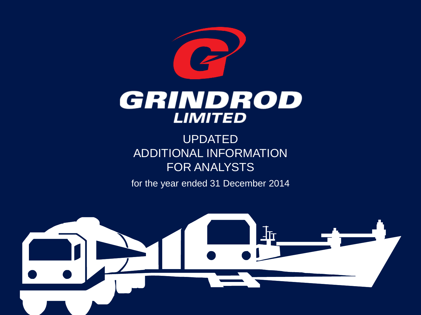

UPDATED ADDITIONAL INFORMATION FOR ANALYSTS

for the year ended 31 December 2014

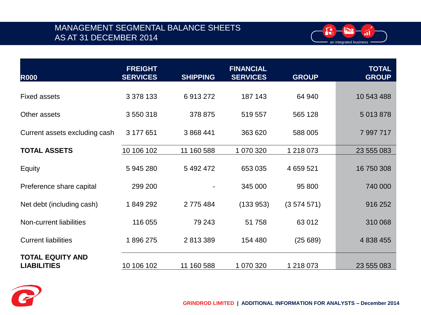## MANAGEMENT SEGMENTAL BALANCE SHEETS AS AT 31 DECEMBER 2014



| <b>R000</b>                                   | <b>FREIGHT</b><br><b>SERVICES</b> | <b>SHIPPING</b> | <b>FINANCIAL</b><br><b>SERVICES</b> | <b>GROUP</b> | <b>TOTAL</b><br><b>GROUP</b> |
|-----------------------------------------------|-----------------------------------|-----------------|-------------------------------------|--------------|------------------------------|
| <b>Fixed assets</b>                           | 3 378 133                         | 6913272         | 187 143                             | 64 940       | 10 543 488                   |
| Other assets                                  | 3 550 318                         | 378 875         | 519 557                             | 565 128      | 5 013 878                    |
| Current assets excluding cash                 | 3 177 651                         | 3 868 441       | 363 620                             | 588 005      | 7 997 717                    |
|                                               |                                   |                 |                                     |              |                              |
| <b>TOTAL ASSETS</b>                           | 10 106 102                        | 11 160 588      | 1 070 320                           | 1 218 073    | 23 555 083                   |
| Equity                                        | 5 945 280                         | 5 492 472       | 653 035                             | 4 659 521    | 16 750 308                   |
| Preference share capital                      | 299 200                           |                 | 345 000                             | 95 800       | 740 000                      |
| Net debt (including cash)                     | 1849292                           | 2775484         | (133953)                            | (3574571)    | 916 252                      |
| Non-current liabilities                       | 116 055                           | 79 243          | 51 758                              | 63 012       | 310 068                      |
| <b>Current liabilities</b>                    | 1896275                           | 2813389         | 154 480                             | (25689)      | 4 838 455                    |
| <b>TOTAL EQUITY AND</b><br><b>LIABILITIES</b> | 10 106 102                        | 11 160 588      | 1 070 320                           | 1 218 073    | 23 555 083                   |
|                                               |                                   |                 |                                     |              |                              |

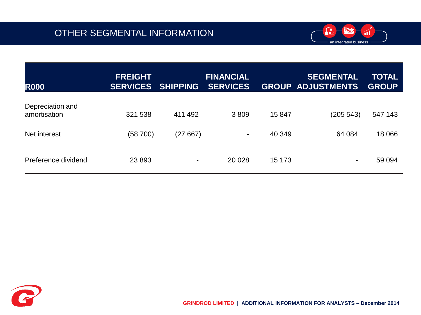

| <b>R000</b>                      | <b>FREIGHT</b><br><b>SERVICES</b> | <b>SHIPPING</b>          | <b>FINANCIAL</b><br><b>SERVICES</b> |        | <b>SEGMENTAL</b><br><b>GROUP ADJUSTMENTS</b> | <b>TOTAL</b><br><b>GROUP</b> |
|----------------------------------|-----------------------------------|--------------------------|-------------------------------------|--------|----------------------------------------------|------------------------------|
| Depreciation and<br>amortisation | 321 538                           | 411 492                  | 3809                                | 15 847 | (205 543)                                    | 547 143                      |
| Net interest                     | (58 700)                          | (27667)                  | ۰                                   | 40 349 | 64 084                                       | 18 0 66                      |
| Preference dividend              | 23 8 93                           | $\overline{\phantom{a}}$ | 20 0 28                             | 15 173 | ٠                                            | 59 094                       |

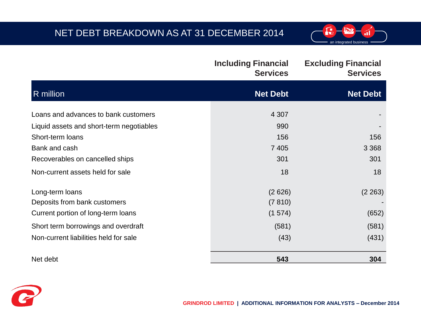# NET DEBT BREAKDOWN AS AT 31 DECEMBER 2014



|                                          | <b>Including Financial</b><br><b>Services</b> | <b>Excluding Financial</b><br><b>Services</b> |
|------------------------------------------|-----------------------------------------------|-----------------------------------------------|
| R million                                | <b>Net Debt</b>                               | <b>Net Debt</b>                               |
| Loans and advances to bank customers     | 4 3 0 7                                       |                                               |
| Liquid assets and short-term negotiables | 990                                           |                                               |
| Short-term loans                         | 156                                           | 156                                           |
| Bank and cash                            | 7 4 0 5                                       | 3 3 6 8                                       |
| Recoverables on cancelled ships          | 301                                           | 301                                           |
| Non-current assets held for sale         | 18                                            | 18                                            |
| Long-term loans                          | (2626)                                        | (2 263)                                       |
| Deposits from bank customers             | (7 810)                                       |                                               |
| Current portion of long-term loans       | (1574)                                        | (652)                                         |
| Short term borrowings and overdraft      | (581)                                         | (581)                                         |
| Non-current liabilities held for sale    | (43)                                          | (431)                                         |
| Net debt                                 | 543                                           | 304                                           |

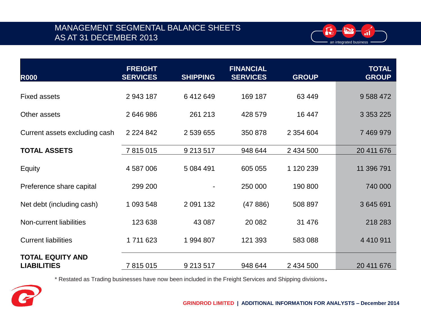## MANAGEMENT SEGMENTAL BALANCE SHEETS AS AT 31 DECEMBER 2013



| <b>R000</b>                                   | <b>FREIGHT</b><br><b>SERVICES</b> | <b>SHIPPING</b> | <b>FINANCIAL</b><br><b>SERVICES</b> | <b>GROUP</b>  | <b>TOTAL</b><br><b>GROUP</b> |
|-----------------------------------------------|-----------------------------------|-----------------|-------------------------------------|---------------|------------------------------|
| <b>Fixed assets</b>                           | 2 943 187                         | 6412649         | 169 187                             | 63 449        | 9 588 472                    |
| Other assets                                  | 2646986                           | 261 213         | 428 579                             | 16 447        | 3 3 5 3 2 2 5                |
| Current assets excluding cash                 | 2 2 2 4 8 4 2                     | 2 539 655       | 350 878                             | 2 3 5 4 6 0 4 | 7 469 979                    |
| <b>TOTAL ASSETS</b>                           | 7815015                           | 9 213 517       | 948 644                             | 2 434 500     | 20 411 676                   |
| Equity                                        | 4 587 006                         | 5 084 491       | 605 055                             | 1 120 239     | 11 396 791                   |
| Preference share capital                      | 299 200                           |                 | 250 000                             | 190 800       | 740 000                      |
| Net debt (including cash)                     | 1 093 548                         | 2 091 132       | (47886)                             | 508 897       | 3 645 691                    |
| Non-current liabilities                       | 123 638                           | 43 087          | 20 082                              | 31 476        | 218 283                      |
| <b>Current liabilities</b>                    | 1711623                           | 1994807         | 121 393                             | 583 088       | 4 4 1 0 9 1 1                |
| <b>TOTAL EQUITY AND</b><br><b>LIABILITIES</b> | 7815015                           | 9 213 517       | 948 644                             | 2 434 500     | 20 411 676                   |

\* Restated as Trading businesses have now been included in the Freight Services and Shipping divisions.

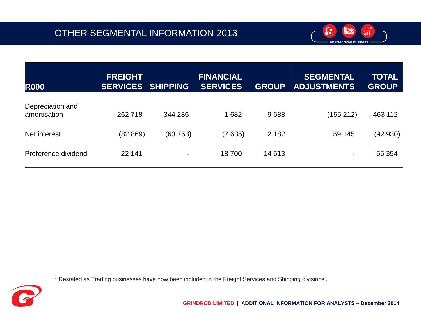

| <b>R000</b>                      | <b>FREIGHT</b><br><b>SERVICES</b> | <b>SHIPPING</b> | <b>FINANCIAL</b><br><b>SERVICES</b> | <b>GROUP</b> | <b>SEGMENTAL</b><br><b>ADJUSTMENTS</b> | <b>TOTAL</b><br><b>GROUP</b> |
|----------------------------------|-----------------------------------|-----------------|-------------------------------------|--------------|----------------------------------------|------------------------------|
| Depreciation and<br>amortisation | 262718                            | 344 236         | 1682                                | 9688         | (155 212)                              | 463 112                      |
| Net interest                     | (82 869)                          | (63753)         | (7635)                              | 2 1 8 2      | 59 145                                 | (92930)                      |
| Preference dividend              | 22 141                            | $\blacksquare$  | 18700                               | 14 5 13      | $\blacksquare$                         | 55 354                       |

\* Restated as Trading businesses have now been included in the Freight Services and Shipping divisions.

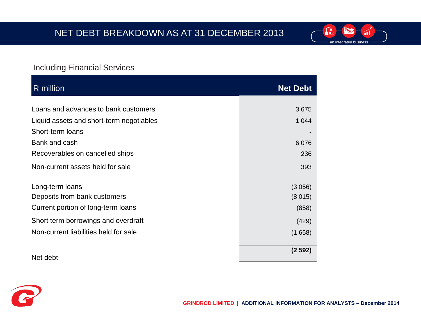

#### Including Financial Services

| R million                                | <b>Net Debt</b> |
|------------------------------------------|-----------------|
|                                          |                 |
| Loans and advances to bank customers     | 3675            |
| Liquid assets and short-term negotiables | 1 0 4 4         |
| Short-term loans                         |                 |
| Bank and cash                            | 6076            |
| Recoverables on cancelled ships          | 236             |
| Non-current assets held for sale         | 393             |
| Long-term loans                          | (3056)          |
| Deposits from bank customers             | (8015)          |
| Current portion of long-term loans       | (858)           |
| Short term borrowings and overdraft      | (429)           |
| Non-current liabilities held for sale    | (1658)          |
| Net debt                                 | (2592)          |

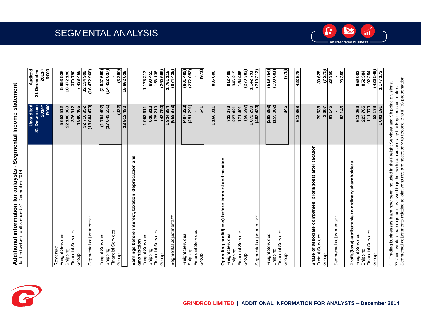



Segmental adjustments relating to joint ventures are necessary to reconcile to IFRS presentation. Segmental adjustments relating to joint ventures are necessary to reconcile to IFRS presentation. ^ Trading businesses have now been included in the Freight Services and Shipping divisions. Trading businesses have now been included in the Freight Services and Shipping divisions. \*\* Joint venture earnings are reviewed together with subsidiaries by the key decision maker. Joint venture earnings are reviewed together with subsidiaries by the key decision maker.  $\tilde{z}$  $\overline{a}$ 

1001191

 $(426549)$ 

52178

 $1177172$ 

92254

852 384

223765 111979

Financial Services

Group

Shipping

an integrated business

b

ál

 $\bf{G}$ 

SEGMENTAL ANALYSIS

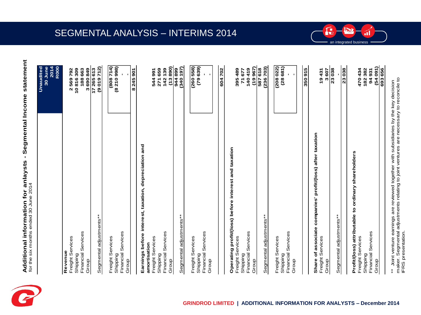

| Additional information for anlaysts - Segmental Income statemen<br>for the six months ended 30 June 2014 |                                             |
|----------------------------------------------------------------------------------------------------------|---------------------------------------------|
|                                                                                                          | 2014<br><b>R000</b><br>Unaudited<br>30 June |
| Revenue                                                                                                  |                                             |
| Freight Services                                                                                         | 2569792                                     |
| Shipping                                                                                                 | 10816309                                    |
| Financial Services                                                                                       | 188663                                      |
| Group                                                                                                    | 3690849                                     |
|                                                                                                          | 17265613                                    |
| Segmental adjustments**                                                                                  | (9019712)                                   |
|                                                                                                          |                                             |
| Freight Services                                                                                         | (808714)                                    |
| Shipping                                                                                                 | (8210998)                                   |
| Financial Services                                                                                       |                                             |
| Group                                                                                                    |                                             |
|                                                                                                          | 8245901                                     |
| Earnings before interest, taxation, depreciation and                                                     |                                             |

| amortisation            |          |
|-------------------------|----------|
| Freight Services        | 544 991  |
| Shipping                | 271 659  |
| Financial Services      | 142 139  |
| Group                   | (13890)  |
|                         | 944899   |
| Segmental adjustments** | (340197) |
|                         |          |
| Freight Services        | (260558) |
| Shipping                | (79639)  |
| Financial Services      |          |
| Group                   |          |
|                         |          |
|                         | 604702   |

| Operating profit/(loss) before interest and taxation |             |
|------------------------------------------------------|-------------|
| Freight Services                                     | 395489      |
| Shipping                                             | 71 677      |
| Financial Services                                   | 140 419     |
| $\overline{\phantom{a}}$                             | =<br>;<br>; |

| (19967) | 587618 | (236703)                | (208022)         | (28681)  |                    |       |
|---------|--------|-------------------------|------------------|----------|--------------------|-------|
| Group   |        | Segmental adjustments** | Freight Services | Shipping | Financial Services | Group |

| Share of associate companies' profit/(loss) after taxation |       |
|------------------------------------------------------------|-------|
| Freight Services                                           | 19431 |
| Group                                                      | 3 607 |
|                                                            | 23038 |
| Segmental adjustments**                                    |       |
|                                                            | 23038 |

**350 915** 

350915

470 434<br>182 382<br>182 382<br>63 656<br>693 656 Group **(54 091)**  Freight Services **470 434**  Shipping **182 382** to the second distribution of the second distribution of the second distribution of the second distribution of the second distribution of the second distribution of the second distribution of the second distribution of the Profit/(loss) attributable to ordinary shareholders **Profit/(loss) attributable to ordinary shareholders** Shipping<br>Financial Services Freight Services Group

an integrated business

<u>int</u>

ál

f

\*\* Joint venture earnings are reviewed together with subsidiaries by the key decision<br>maker. Segmental adjustments relating to joint ventures are necessary to reconcile to<br>IFRS presentation. maker. Segmental adjustments relating to joint ventures are necessary to reconcile to \*\* Joint venture earnings are reviewed together with subsidiaries by the key decision IFRS presentation.

**693 656** 

**Earnings before interest, taxation, depreciation and** 

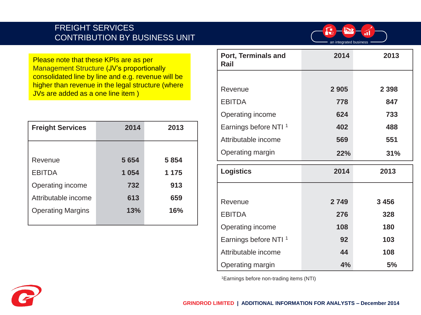#### FREIGHT SERVICES CONTRIBUTION BY BUSINESS UNIT



Please note that these KPIs are as per Management Structure (JV's proportionally consolidated line by line and e.g. revenue will be higher than revenue in the legal structure (where JVs are added as a one line item )

| <b>Freight Services</b>  | 2014    | 2013    |
|--------------------------|---------|---------|
|                          |         |         |
| Revenue                  | 5 6 5 4 | 5 8 5 4 |
| <b>EBITDA</b>            | 1 0 5 4 | 1 1 7 5 |
| Operating income         | 732     | 913     |
| Attributable income      | 613     | 659     |
| <b>Operating Margins</b> | 13%     | 16%     |
|                          |         |         |

| Port, Terminals and<br>Rail      | 2014    | 2013    |
|----------------------------------|---------|---------|
|                                  |         |         |
| Revenue                          | 2 9 0 5 | 2 3 9 8 |
| <b>EBITDA</b>                    | 778     | 847     |
| Operating income                 | 624     | 733     |
| Earnings before NTI <sup>1</sup> | 402     | 488     |
| Attributable income              | 569     | 551     |
| Operating margin                 | 22%     | 31%     |
|                                  |         |         |
| <b>Logistics</b>                 | 2014    | 2013    |
|                                  |         |         |
| Revenue                          | 2749    | 3 4 5 6 |
| <b>EBITDA</b>                    | 276     | 328     |
| Operating income                 | 108     | 180     |
| Earnings before NTI <sup>1</sup> | 92      | 103     |
| Attributable income              | 44      | 108     |

1Earnings before non-trading items (NTI)

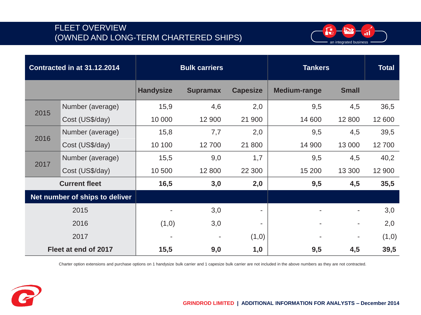## FLEET OVERVIEW (OWNED AND LONG-TERM CHARTERED SHIPS)



|                         | Contracted in at 31.12.2014    |                  | <b>Bulk carriers</b> |                 | <b>Tankers</b>      | <b>Total</b> |        |
|-------------------------|--------------------------------|------------------|----------------------|-----------------|---------------------|--------------|--------|
|                         |                                | <b>Handysize</b> | <b>Supramax</b>      | <b>Capesize</b> | <b>Medium-range</b> | <b>Small</b> |        |
| 2015                    | Number (average)               | 15,9             | 4,6                  | 2,0             | 9,5                 | 4,5          | 36,5   |
|                         | Cost (US\$/day)                | 10 000           | 12 900               | 21 900          | 14 600              | 12 800       | 12 600 |
|                         | Number (average)               | 15,8             | 7,7                  | 2,0             | 9,5                 | 4,5          | 39,5   |
| 2016<br>Cost (US\$/day) |                                | 10 100           | 12700                | 21 800          | 14 900              | 13 000       | 12700  |
| Number (average)        |                                | 15,5             | 9,0                  | 1,7             | 9,5                 | 4,5          | 40,2   |
| 2017                    | Cost (US\$/day)                | 10 500           | 12 800               | 22 300          | 15 200              | 13 300       | 12 900 |
|                         | <b>Current fleet</b>           | 16,5             | 3,0                  | 2,0             | 9,5<br>4,5          |              | 35,5   |
|                         | Net number of ships to deliver |                  |                      |                 |                     |              |        |
|                         | 2015                           |                  | 3,0                  | -               |                     |              | 3,0    |
| 2016                    |                                | (1,0)            | 3,0                  | $\blacksquare$  |                     |              | 2,0    |
| 2017                    |                                | $\overline{a}$   |                      | (1,0)           |                     | ۰            | (1,0)  |
|                         | Fleet at end of 2017           | 15,5             | 9,0                  | 1,0             | 9,5                 | 4,5          | 39,5   |

Charter option extensions and purchase options on 1 handysize bulk carrier and 1 capesize bulk carrier are not included in the above numbers as they are not contracted.

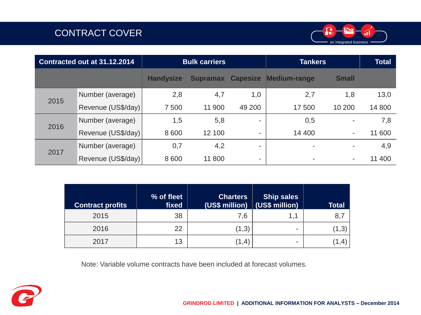# CONTRACT COVER



| Contracted out at 31.12.2014 |                    |                  | <b>Bulk carriers</b> |                          | <b>Tankers</b>           | <b>Total</b>             |        |
|------------------------------|--------------------|------------------|----------------------|--------------------------|--------------------------|--------------------------|--------|
|                              |                    | <b>Handysize</b> | <b>Supramax</b>      | <b>Capesize</b>          | <b>Medium-range</b>      | <b>Small</b>             |        |
| 2015                         | Number (average)   | 2,8              | 4,7                  | 1,0                      | 2,7                      | 1,8                      | 13,0   |
|                              | Revenue (US\$/day) | 7 500            | 11 900               | 49 200                   | 17500                    | 10 200                   | 14 800 |
| 2016                         | Number (average)   | 1,5              | 5,8                  | $\overline{\phantom{a}}$ | 0,5                      |                          | 7,8    |
|                              | Revenue (US\$/day) | 8 6 0 0          | 12 100               | ۰                        | 14 400                   |                          | 11 600 |
| 2017                         | Number (average)   | 0,7              | 4,2                  | -                        | $\blacksquare$           | $\overline{\phantom{a}}$ | 4,9    |
|                              | Revenue (US\$/day) | 8 6 0 0          | 11 800               | -                        | $\overline{\phantom{a}}$ |                          | 11 400 |

| <b>Contract profits</b> | % of fleet<br>fixed | <b>Charters</b><br>(US\$ million) (US\$ million) | <b>Ship sales</b> | <b>Total</b> |
|-------------------------|---------------------|--------------------------------------------------|-------------------|--------------|
| 2015                    | 38                  | 7,6                                              | 1.1               | 8,7          |
| 2016                    | 22                  | (1,3)                                            | ۰                 | (1,3)        |
| 2017                    | 13                  | (1,4)                                            | -                 |              |

Note: Variable volume contracts have been included at forecast volumes.

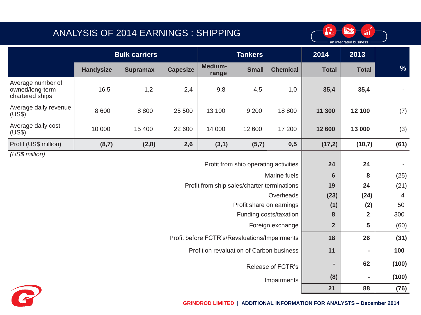## ANALYSIS OF 2014 EARNINGS : SHIPPING



|                                                         | <b>Bulk carriers</b> |                 |                 | <b>Tankers</b>                                |                                       |                        | 2014            | 2013                    |       |
|---------------------------------------------------------|----------------------|-----------------|-----------------|-----------------------------------------------|---------------------------------------|------------------------|-----------------|-------------------------|-------|
|                                                         | <b>Handysize</b>     | <b>Supramax</b> | <b>Capesize</b> | Medium-<br>range                              | <b>Small</b>                          | <b>Chemical</b>        | <b>Total</b>    | <b>Total</b>            | %     |
| Average number of<br>owned/long-term<br>chartered ships | 16,5                 | 1,2             | 2,4             | 9,8                                           | 4,5                                   | 1,0                    | 35,4            | 35,4                    |       |
| Average daily revenue<br>(US\$)                         | 8 600                | 8800            | 25 500          | 13 100                                        | 9 2 0 0                               | 18 800                 | 11 300          | 12 100                  | (7)   |
| Average daily cost<br>(US\$)                            | 10 000               | 15 400          | 22 600          | 14 000                                        | 12 600                                | 17 200                 | 12 600          | 13 000                  | (3)   |
| Profit (US\$ million)                                   | (8,7)                | (2, 8)          | 2,6             | (3,1)                                         | (5,7)                                 | 0,5                    | (17,2)          | (10,7)                  | (61)  |
| (US\$ million)                                          |                      |                 |                 |                                               |                                       |                        |                 |                         |       |
|                                                         |                      |                 |                 |                                               | Profit from ship operating activities |                        | 24              | 24                      |       |
|                                                         |                      |                 |                 |                                               |                                       | Marine fuels           | $6\phantom{1}6$ | 8                       | (25)  |
|                                                         |                      |                 |                 | Profit from ship sales/charter terminations   |                                       |                        | 19              | 24                      | (21)  |
|                                                         |                      |                 |                 |                                               |                                       | Overheads              | (23)            | (24)                    | 4     |
|                                                         |                      |                 |                 |                                               | Profit share on earnings              |                        | (1)             | (2)                     | 50    |
|                                                         |                      |                 |                 |                                               |                                       | Funding costs/taxation | 8               | $\overline{\mathbf{2}}$ | 300   |
|                                                         |                      |                 |                 |                                               |                                       | Foreign exchange       | $\overline{2}$  | 5                       | (60)  |
|                                                         |                      |                 |                 | Profit before FCTR's/Revaluations/Impairments |                                       |                        | 18              | 26                      | (31)  |
|                                                         |                      |                 |                 | Profit on revaluation of Carbon business      |                                       |                        | 11              | ٠                       | 100   |
|                                                         |                      |                 |                 |                                               |                                       | Release of FCTR's      | $\blacksquare$  | 62                      | (100) |
|                                                         |                      |                 |                 |                                               |                                       | Impairments            | (8)             | ۰                       | (100) |
|                                                         |                      |                 |                 |                                               |                                       |                        | 21              | 88                      | (76)  |